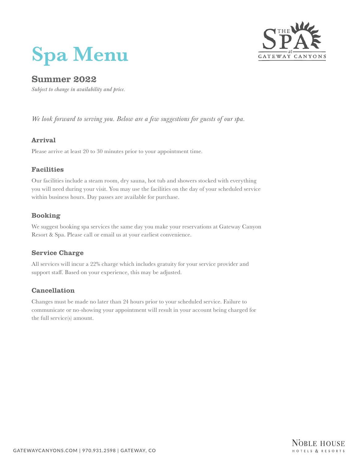# **Spa Menu**



# Summer 2022

*Subject to change in availability and price.*

*We look forward to serving you. Below are a few suggestions for guests of our spa.*

# Arrival

Please arrive at least 20 to 30 minutes prior to your appointment time.

# Facilities

Our facilities include a steam room, dry sauna, hot tub and showers stocked with everything you will need during your visit. You may use the facilities on the day of your scheduled service within business hours. Day passes are available for purchase.

# Booking

We suggest booking spa services the same day you make your reservations at Gateway Canyon Resort & Spa. Please call or email us at your earliest convenience.

# Service Charge

All services will incur a 22% charge which includes gratuity for your service provider and support staff. Based on your experience, this may be adjusted.

# Cancellation

Changes must be made no later than 24 hours prior to your scheduled service. Failure to communicate or no-showing your appointment will result in your account being charged for the full service(s) amount.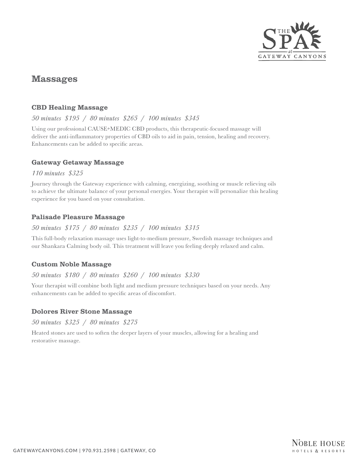

# Massages

# CBD Healing Massage

# *50 minutes \$195 / 80 minutes \$265 / 100 minutes \$345*

Using our professional CAUSE+MEDIC CBD products, this therapeutic-focused massage will deliver the anti-inflammatory properties of CBD oils to aid in pain, tension, healing and recovery. Enhancements can be added to specific areas.

# Gateway Getaway Massage

#### *110 minutes \$325*

Journey through the Gateway experience with calming, energizing, soothing or muscle relieving oils to achieve the ultimate balance of your personal energies. Your therapist will personalize this healing experience for you based on your consultation.

# Palisade Pleasure Massage

# *50 minutes \$175 / 80 minutes \$235 / 100 minutes \$315*

This full-body relaxation massage uses light-to-medium pressure, Swedish massage techniques and our Shankara Calming body oil. This treatment will leave you feeling deeply relaxed and calm.

# Custom Noble Massage

# *50 minutes \$180 / 80 minutes \$260 / 100 minutes \$330*

Your therapist will combine both light and medium pressure techniques based on your needs. Any enhancements can be added to specific areas of discomfort.

# Dolores River Stone Massage

*50 minutes \$325 / 80 minutes \$275*

Heated stones are used to soften the deeper layers of your muscles, allowing for a healing and restorative massage.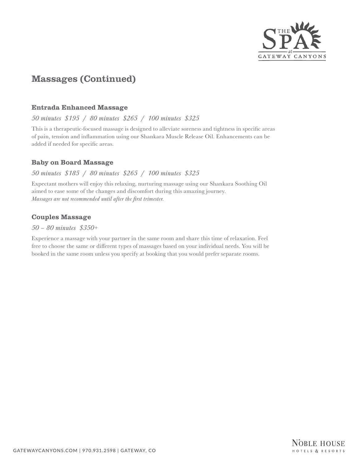

# Massages (Continued)

#### Entrada Enhanced Massage

#### *50 minutes \$195 / 80 minutes \$265 / 100 minutes \$325*

This is a therapeutic-focused massage is designed to alleviate soreness and tightness in specific areas of pain, tension and inflammation using our Shankara Muscle Release Oil. Enhancements can be added if needed for specific areas.

#### Baby on Board Massage

#### *50 minutes \$185 / 80 minutes \$265 / 100 minutes \$325*

Expectant mothers will enjoy this relaxing, nurturing massage using our Shankara Soothing Oil aimed to ease some of the changes and discomfort during this amazing journey. *Massages are not recommended until after the first trimester.*

# Couples Massage

#### *50 – 80 minutes \$350+*

Experience a massage with your partner in the same room and share this time of relaxation. Feel free to choose the same or different types of massages based on your individual needs. You will be booked in the same room unless you specify at booking that you would prefer separate rooms.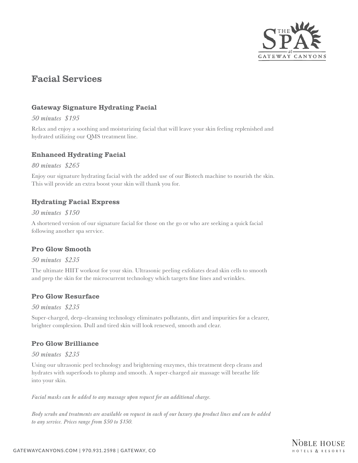

# Facial Services

# Gateway Signature Hydrating Facial

#### *50 minutes \$195*

Relax and enjoy a soothing and moisturizing facial that will leave your skin feeling replenished and hydrated utilizing our QMS treatment line.

# Enhanced Hydrating Facial

#### *80 minutes \$265*

Enjoy our signature hydrating facial with the added use of our Biotech machine to nourish the skin. This will provide an extra boost your skin will thank you for.

# Hydrating Facial Express

#### *30 minutes \$150*

A shortened version of our signature facial for those on the go or who are seeking a quick facial following another spa service.

# Pro Glow Smooth

*50 minutes \$235*

The ultimate HIIT workout for your skin. Ultrasonic peeling exfoliates dead skin cells to smooth and prep the skin for the microcurrent technology which targets fine lines and wrinkles.

# Pro Glow Resurface

*50 minutes \$235*

Super-charged, deep-cleansing technology eliminates pollutants, dirt and impurities for a clearer, brighter complexion. Dull and tired skin will look renewed, smooth and clear.

# Pro Glow Brilliance

#### *50 minutes \$235*

Using our ultrasonic peel technology and brightening enzymes, this treatment deep cleans and hydrates with superfoods to plump and smooth. A super-charged air massage will breathe life into your skin.

*Facial masks can be added to any massage upon request for an additional charge.*

*Body scrubs and treatments are available on request in each of our luxury spa product lines and can be added to any service. Prices range from \$50 to \$150.*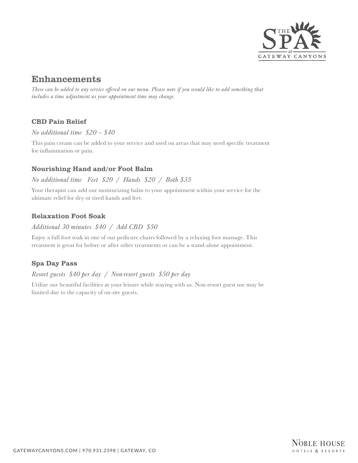

# Enhancements

*These can be added to any service offered on our menu. Please note if you would like to add something that includes a time adjustment as your appointment time may change.*

# CBD Pain Relief

*No additional time \$20 – \$40*

This pain cream can be added to your service and used on areas that may need specific treatment for inflammation or pain.

# Nourishing Hand and/or Foot Balm

# *No additional time Feet \$20 / Hands \$20 / Both \$35*

Your therapist can add our moisturizing balm to your appointment within your service for the ultimate relief for dry or tired hands and feet.

# Relaxation Foot Soak

# *Additional 30 minutes \$40 / Add CBD \$50*

Enjoy a full foot soak in one of our pedicure chairs followed by a relaxing foot massage. This treatment is great for before or after other treatments or can be a stand-alone appointment.

# Spa Day Pass

# *Resort guests \$40 per day / Non-resort guests \$50 per day*

Utilize our beautiful facilities at your leisure while staying with us. Non-resort guest use may be limited due to the capacity of on-site guests.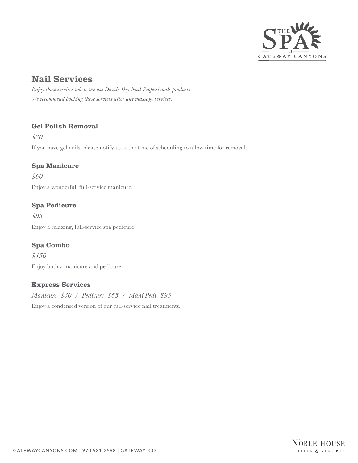

# Nail Services

*Enjoy these services where we use Dazzle Dry Nail Professionals products. We recommend booking these services after any massage services.*

# Gel Polish Removal

*\$20*

If you have gel nails, please notify us at the time of scheduling to allow time for removal.

# Spa Manicure

*\$60* Enjoy a wonderful, full-service manicure.

# Spa Pedicure

*\$95* Enjoy a relaxing, full-service spa pedicure

# Spa Combo

*\$150* Enjoy both a manicure and pedicure.

# Express Services

*Manicure \$30 / Pedicure \$65 / Mani-Pedi \$95* Enjoy a condensed version of our full-service nail treatments.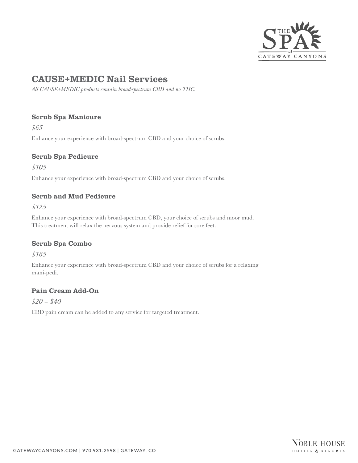

# CAUSE+MEDIC Nail Services

*All CAUSE+MEDIC products contain broad-spectrum CBD and no THC.*

# Scrub Spa Manicure

*\$65*

Enhance your experience with broad-spectrum CBD and your choice of scrubs.

# Scrub Spa Pedicure

*\$105*

Enhance your experience with broad-spectrum CBD and your choice of scrubs.

# Scrub and Mud Pedicure

*\$125*

Enhance your experience with broad-spectrum CBD, your choice of scrubs and moor mud. This treatment will relax the nervous system and provide relief for sore feet.

# Scrub Spa Combo

*\$165*

Enhance your experience with broad-spectrum CBD and your choice of scrubs for a relaxing mani-pedi.

# Pain Cream Add-On

*\$20 – \$40*

CBD pain cream can be added to any service for targeted treatment.